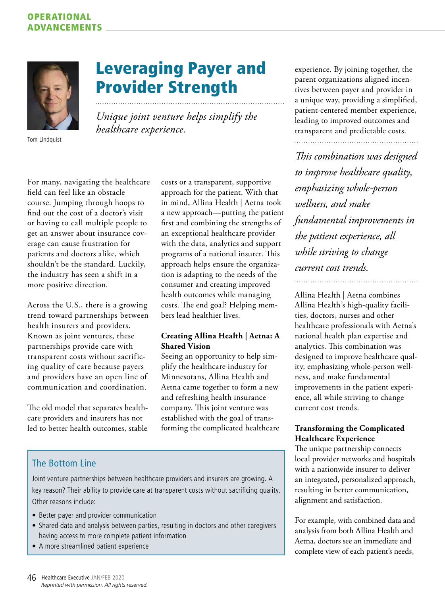## OPERATIONAL ADVANCEMENTS



Tom Lindquist

# Leveraging Payer and Provider Strength

*Unique joint venture helps simplify the healthcare experience.*

For many, navigating the healthcare field can feel like an obstacle course. Jumping through hoops to find out the cost of a doctor's visit or having to call multiple people to get an answer about insurance coverage can cause frustration for patients and doctors alike, which shouldn't be the standard. Luckily, the industry has seen a shift in a more positive direction.

Across the U.S., there is a growing trend toward partnerships between health insurers and providers. Known as joint ventures, these partnerships provide care with transparent costs without sacrificing quality of care because payers and providers have an open line of communication and coordination.

The old model that separates healthcare providers and insurers has not led to better health outcomes, stable

costs or a transparent, supportive approach for the patient. With that in mind, Allina Health | Aetna took a new approach—putting the patient first and combining the strengths of an exceptional healthcare provider with the data, analytics and support programs of a national insurer. This approach helps ensure the organization is adapting to the needs of the consumer and creating improved health outcomes while managing costs. The end goal? Helping members lead healthier lives.

### **Creating Allina Health | Aetna: A Shared Vision**

Seeing an opportunity to help simplify the healthcare industry for Minnesotans, Allina Health and Aetna came together to form a new and refreshing health insurance company. This joint venture was established with the goal of transforming the complicated healthcare experience. By joining together, the parent organizations aligned incentives between payer and provider in a unique way, providing a simplified, patient-centered member experience, leading to improved outcomes and transparent and predictable costs.

*This combination was designed to improve healthcare quality, emphasizing whole-person wellness, and make fundamental improvements in the patient experience, all while striving to change current cost trends.* 

Allina Health | Aetna combines Allina Health's high-quality facilities, doctors, nurses and other healthcare professionals with Aetna's national health plan expertise and analytics. This combination was designed to improve healthcare quality, emphasizing whole-person wellness, and make fundamental improvements in the patient experience, all while striving to change current cost trends.

### **Transforming the Complicated Healthcare Experience**

The unique partnership connects local provider networks and hospitals with a nationwide insurer to deliver an integrated, personalized approach, resulting in better communication, alignment and satisfaction.

For example, with combined data and analysis from both Allina Health and Aetna, doctors see an immediate and complete view of each patient's needs,

# The Bottom Line

Joint venture partnerships between healthcare providers and insurers are growing. A key reason? Their ability to provide care at transparent costs without sacrificing quality. Other reasons include:

- Better payer and provider communication
- Shared data and analysis between parties, resulting in doctors and other caregivers having access to more complete patient information
- A more streamlined patient experience